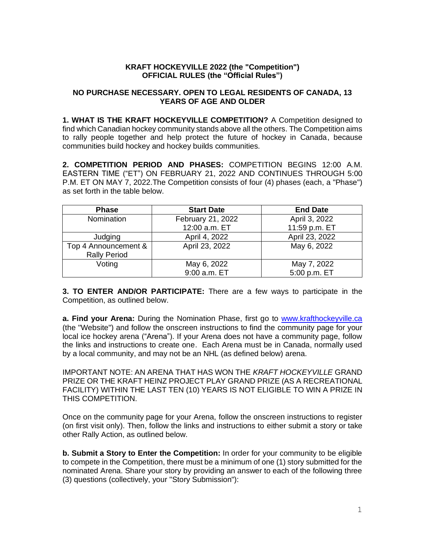## **KRAFT HOCKEYVILLE 2022 (the "Competition") OFFICIAL RULES (the "Official Rules")**

## **NO PURCHASE NECESSARY. OPEN TO LEGAL RESIDENTS OF CANADA, 13 YEARS OF AGE AND OLDER**

**1. WHAT IS THE KRAFT HOCKEYVILLE COMPETITION?** A Competition designed to find which Canadian hockey community stands above all the others. The Competition aims to rally people together and help protect the future of hockey in Canada, because communities build hockey and hockey builds communities.

**2. COMPETITION PERIOD AND PHASES:** COMPETITION BEGINS 12:00 A.M. EASTERN TIME ("ET") ON FEBRUARY 21, 2022 AND CONTINUES THROUGH 5:00 P.M. ET ON MAY 7, 2022.The Competition consists of four (4) phases (each, a "Phase") as set forth in the table below.

| <b>Phase</b>                                | <b>Start Date</b> | <b>End Date</b> |
|---------------------------------------------|-------------------|-----------------|
| Nomination                                  | February 21, 2022 | April 3, 2022   |
|                                             | 12:00 a.m. ET     | 11:59 p.m. ET   |
| Judging                                     | April 4, 2022     | April 23, 2022  |
| Top 4 Announcement &<br><b>Rally Period</b> | April 23, 2022    | May 6, 2022     |
| Voting                                      | May 6, 2022       | May 7, 2022     |
|                                             | 9:00 a.m. ET      | 5:00 p.m. ET    |

**3. TO ENTER AND/OR PARTICIPATE:** There are a few ways to participate in the Competition, as outlined below.

a. Find your Arena: During the Nomination Phase, first go to [www.krafthockeyville.ca](http://www.krafthockeyville.ca/) (the "Website") and follow the onscreen instructions to find the community page for your local ice hockey arena ("Arena"). If your Arena does not have a community page, follow the links and instructions to create one. Each Arena must be in Canada, normally used by a local community, and may not be an NHL (as defined below) arena.

IMPORTANT NOTE: AN ARENA THAT HAS WON THE *KRAFT HOCKEYVILLE* GRAND PRIZE OR THE KRAFT HEINZ PROJECT PLAY GRAND PRIZE (AS A RECREATIONAL FACILITY) WITHIN THE LAST TEN (10) YEARS IS NOT ELIGIBLE TO WIN A PRIZE IN THIS COMPETITION.

Once on the community page for your Arena, follow the onscreen instructions to register (on first visit only). Then, follow the links and instructions to either submit a story or take other Rally Action, as outlined below.

**b. Submit a Story to Enter the Competition:** In order for your community to be eligible to compete in the Competition, there must be a minimum of one (1) story submitted for the nominated Arena. Share your story by providing an answer to each of the following three (3) questions (collectively, your "Story Submission"):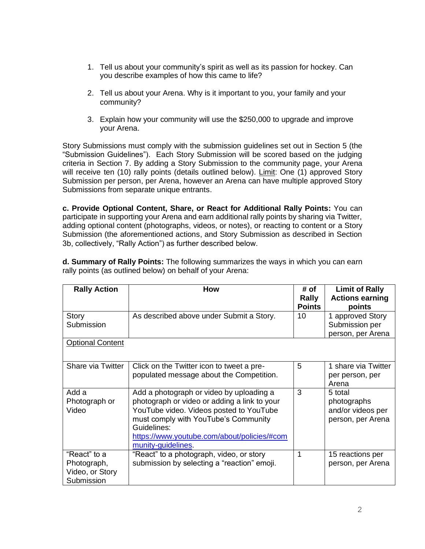- 1. Tell us about your community's spirit as well as its passion for hockey. Can you describe examples of how this came to life?
- 2. Tell us about your Arena. Why is it important to you, your family and your community?
- 3. Explain how your community will use the \$250,000 to upgrade and improve your Arena.

Story Submissions must comply with the submission guidelines set out in Section 5 (the "Submission Guidelines"). Each Story Submission will be scored based on the judging criteria in Section 7. By adding a Story Submission to the community page, your Arena will receive ten (10) rally points (details outlined below). Limit: One (1) approved Story Submission per person, per Arena, however an Arena can have multiple approved Story Submissions from separate unique entrants.

**c. Provide Optional Content, Share, or React for Additional Rally Points:** You can participate in supporting your Arena and earn additional rally points by sharing via Twitter, adding optional content (photographs, videos, or notes), or reacting to content or a Story Submission (the aforementioned actions, and Story Submission as described in Section 3b, collectively, "Rally Action") as further described below.

| <b>Rally Action</b>     | <b>How</b>                                   | # of            | <b>Limit of Rally</b>  |
|-------------------------|----------------------------------------------|-----------------|------------------------|
|                         |                                              | Rally           | <b>Actions earning</b> |
|                         |                                              | <b>Points</b>   | points                 |
| Story                   | As described above under Submit a Story.     | 10 <sup>1</sup> | 1 approved Story       |
| Submission              |                                              |                 | Submission per         |
|                         |                                              |                 | person, per Arena      |
| <b>Optional Content</b> |                                              |                 |                        |
|                         |                                              |                 |                        |
| Share via Twitter       | Click on the Twitter icon to tweet a pre-    | 5               | 1 share via Twitter    |
|                         | populated message about the Competition.     |                 | per person, per        |
|                         |                                              |                 | Arena                  |
| Add a                   | Add a photograph or video by uploading a     | 3               | 5 total                |
| Photograph or           | photograph or video or adding a link to your |                 | photographs            |
| Video                   | YouTube video. Videos posted to YouTube      |                 | and/or videos per      |
|                         | must comply with YouTube's Community         |                 | person, per Arena      |
|                         | Guidelines:                                  |                 |                        |
|                         | https://www.youtube.com/about/policies/#com  |                 |                        |
|                         | munity-guidelines.                           |                 |                        |
| "React" to a            | "React" to a photograph, video, or story     | 1               | 15 reactions per       |
| Photograph,             | submission by selecting a "reaction" emoji.  |                 | person, per Arena      |
| Video, or Story         |                                              |                 |                        |
| Submission              |                                              |                 |                        |

**d. Summary of Rally Points:** The following summarizes the ways in which you can earn rally points (as outlined below) on behalf of your Arena: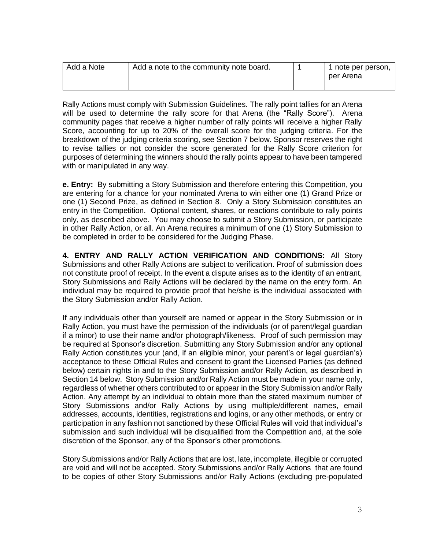| Add a Note | Add a note to the community note board. |  | 1 note per person,<br>I per Arena |
|------------|-----------------------------------------|--|-----------------------------------|
|------------|-----------------------------------------|--|-----------------------------------|

Rally Actions must comply with Submission Guidelines. The rally point tallies for an Arena will be used to determine the rally score for that Arena (the "Rally Score"). Arena community pages that receive a higher number of rally points will receive a higher Rally Score, accounting for up to 20% of the overall score for the judging criteria. For the breakdown of the judging criteria scoring, see Section 7 below. Sponsor reserves the right to revise tallies or not consider the score generated for the Rally Score criterion for purposes of determining the winners should the rally points appear to have been tampered with or manipulated in any way.

**e. Entry:** By submitting a Story Submission and therefore entering this Competition, you are entering for a chance for your nominated Arena to win either one (1) Grand Prize or one (1) Second Prize, as defined in Section 8. Only a Story Submission constitutes an entry in the Competition. Optional content, shares, or reactions contribute to rally points only, as described above. You may choose to submit a Story Submission, or participate in other Rally Action, or all. An Arena requires a minimum of one (1) Story Submission to be completed in order to be considered for the Judging Phase.

**4. ENTRY AND RALLY ACTION VERIFICATION AND CONDITIONS:** All Story Submissions and other Rally Actions are subject to verification. Proof of submission does not constitute proof of receipt. In the event a dispute arises as to the identity of an entrant, Story Submissions and Rally Actions will be declared by the name on the entry form. An individual may be required to provide proof that he/she is the individual associated with the Story Submission and/or Rally Action.

If any individuals other than yourself are named or appear in the Story Submission or in Rally Action, you must have the permission of the individuals (or of parent/legal guardian if a minor) to use their name and/or photograph/likeness. Proof of such permission may be required at Sponsor's discretion. Submitting any Story Submission and/or any optional Rally Action constitutes your (and, if an eligible minor, your parent's or legal guardian's) acceptance to these Official Rules and consent to grant the Licensed Parties (as defined below) certain rights in and to the Story Submission and/or Rally Action, as described in Section 14 below.Story Submission and/or Rally Action must be made in your name only, regardless of whether others contributed to or appear in the Story Submission and/or Rally Action. Any attempt by an individual to obtain more than the stated maximum number of Story Submissions and/or Rally Actions by using multiple/different names, email addresses, accounts, identities, registrations and logins, or any other methods, or entry or participation in any fashion not sanctioned by these Official Rules will void that individual's submission and such individual will be disqualified from the Competition and, at the sole discretion of the Sponsor, any of the Sponsor's other promotions.

Story Submissions and/or Rally Actions that are lost, late, incomplete, illegible or corrupted are void and will not be accepted. Story Submissions and/or Rally Actions that are found to be copies of other Story Submissions and/or Rally Actions (excluding pre-populated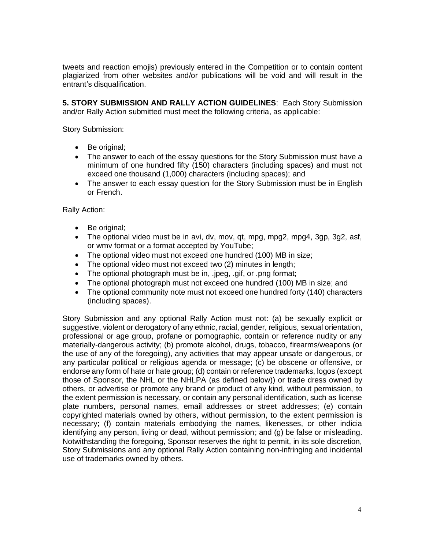tweets and reaction emojis) previously entered in the Competition or to contain content plagiarized from other websites and/or publications will be void and will result in the entrant's disqualification.

**5. STORY SUBMISSION AND RALLY ACTION GUIDELINES**: Each Story Submission and/or Rally Action submitted must meet the following criteria, as applicable:

Story Submission:

- Be original;
- The answer to each of the essay questions for the Story Submission must have a minimum of one hundred fifty (150) characters (including spaces) and must not exceed one thousand (1,000) characters (including spaces); and
- The answer to each essay question for the Story Submission must be in English or French.

Rally Action:

- Be original;
- The optional video must be in avi, dv, mov, qt, mpg, mpg2, mpg4, 3gp, 3g2, asf, or wmv format or a format accepted by YouTube;
- The optional video must not exceed one hundred (100) MB in size;
- The optional video must not exceed two (2) minutes in length;
- The optional photograph must be in, .jpeg, .gif, or .png format;
- The optional photograph must not exceed one hundred (100) MB in size; and
- The optional community note must not exceed one hundred forty (140) characters (including spaces).

Story Submission and any optional Rally Action must not: (a) be sexually explicit or suggestive, violent or derogatory of any ethnic, racial, gender, religious, sexual orientation, professional or age group, profane or pornographic, contain or reference nudity or any materially-dangerous activity; (b) promote alcohol, drugs, tobacco, firearms/weapons (or the use of any of the foregoing), any activities that may appear unsafe or dangerous, or any particular political or religious agenda or message; (c) be obscene or offensive, or endorse any form of hate or hate group; (d) contain or reference trademarks, logos (except those of Sponsor, the NHL or the NHLPA (as defined below)) or trade dress owned by others, or advertise or promote any brand or product of any kind, without permission, to the extent permission is necessary, or contain any personal identification, such as license plate numbers, personal names, email addresses or street addresses; (e) contain copyrighted materials owned by others, without permission, to the extent permission is necessary; (f) contain materials embodying the names, likenesses, or other indicia identifying any person, living or dead, without permission; and (g) be false or misleading. Notwithstanding the foregoing, Sponsor reserves the right to permit, in its sole discretion, Story Submissions and any optional Rally Action containing non-infringing and incidental use of trademarks owned by others.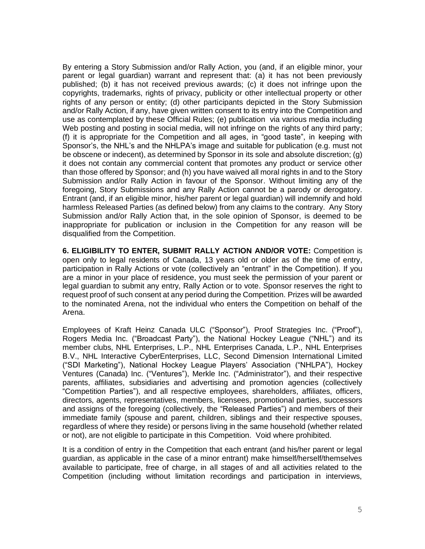By entering a Story Submission and/or Rally Action, you (and, if an eligible minor, your parent or legal guardian) warrant and represent that: (a) it has not been previously published; (b) it has not received previous awards; (c) it does not infringe upon the copyrights, trademarks, rights of privacy, publicity or other intellectual property or other rights of any person or entity; (d) other participants depicted in the Story Submission and/or Rally Action, if any, have given written consent to its entry into the Competition and use as contemplated by these Official Rules; (e) publication via various media including Web posting and posting in social media, will not infringe on the rights of any third party; (f) it is appropriate for the Competition and all ages, in "good taste", in keeping with Sponsor's, the NHL's and the NHLPA's image and suitable for publication (e.g. must not be obscene or indecent), as determined by Sponsor in its sole and absolute discretion; (g) it does not contain any commercial content that promotes any product or service other than those offered by Sponsor; and (h) you have waived all moral rights in and to the Story Submission and/or Rally Action in favour of the Sponsor. Without limiting any of the foregoing, Story Submissions and any Rally Action cannot be a parody or derogatory. Entrant (and, if an eligible minor, his/her parent or legal guardian) will indemnify and hold harmless Released Parties (as defined below) from any claims to the contrary. Any Story Submission and/or Rally Action that, in the sole opinion of Sponsor, is deemed to be inappropriate for publication or inclusion in the Competition for any reason will be disqualified from the Competition.

**6. ELIGIBILITY TO ENTER, SUBMIT RALLY ACTION AND/OR VOTE:** Competition is open only to legal residents of Canada, 13 years old or older as of the time of entry, participation in Rally Actions or vote (collectively an "entrant" in the Competition). If you are a minor in your place of residence, you must seek the permission of your parent or legal guardian to submit any entry, Rally Action or to vote. Sponsor reserves the right to request proof of such consent at any period during the Competition. Prizes will be awarded to the nominated Arena, not the individual who enters the Competition on behalf of the Arena.

Employees of Kraft Heinz Canada ULC ("Sponsor"), Proof Strategies Inc. ("Proof"), Rogers Media Inc. ("Broadcast Party"), the National Hockey League ("NHL") and its member clubs, NHL Enterprises, L.P., NHL Enterprises Canada, L.P., NHL Enterprises B.V., NHL Interactive CyberEnterprises, LLC, Second Dimension International Limited ("SDI Marketing"), National Hockey League Players' Association ("NHLPA"), Hockey Ventures (Canada) Inc. ("Ventures"), Merkle Inc. ("Administrator"), and their respective parents, affiliates, subsidiaries and advertising and promotion agencies (collectively "Competition Parties"), and all respective employees, shareholders, affiliates, officers, directors, agents, representatives, members, licensees, promotional parties, successors and assigns of the foregoing (collectively, the "Released Parties") and members of their immediate family (spouse and parent, children, siblings and their respective spouses, regardless of where they reside) or persons living in the same household (whether related or not), are not eligible to participate in this Competition. Void where prohibited.

It is a condition of entry in the Competition that each entrant (and his/her parent or legal guardian, as applicable in the case of a minor entrant) make himself/herself/themselves available to participate, free of charge, in all stages of and all activities related to the Competition (including without limitation recordings and participation in interviews,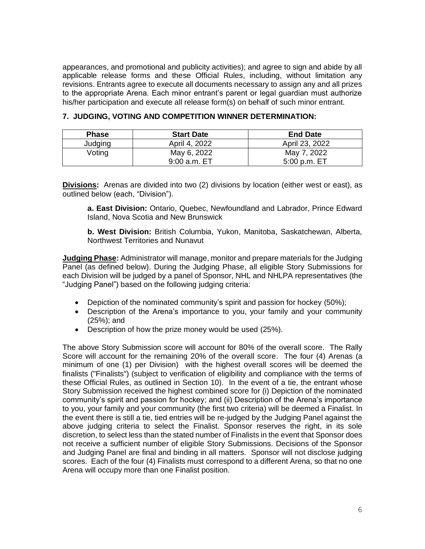appearances, and promotional and publicity activities); and agree to sign and abide by all applicable release forms and these Official Rules, including, without limitation any revisions. Entrants agree to execute all documents necessary to assign any and all prizes to the appropriate Arena. Each minor entrant's parent or legal guardian must authorize his/her participation and execute all release form(s) on behalf of such minor entrant.

| <b>Phase</b> | <b>Start Date</b> | <b>End Date</b> |
|--------------|-------------------|-----------------|
| Judging      | April 4, 2022     | April 23, 2022  |
| Voting       | May 6, 2022       | May 7, 2022     |
|              | 9:00 a.m. ET      | $5:00$ p.m. ET  |

## **7. JUDGING, VOTING AND COMPETITION WINNER DETERMINATION:**

**Divisions:** Arenas are divided into two (2) divisions by location (either west or east), as outlined below (each, "Division").

**a. East Division:** Ontario, Quebec, Newfoundland and Labrador, Prince Edward Island, Nova Scotia and New Brunswick

**b. West Division:** British Columbia, Yukon, Manitoba, Saskatchewan, Alberta, Northwest Territories and Nunavut

**Judging Phase:** Administrator will manage, monitor and prepare materials for the Judging Panel (as defined below). During the Judging Phase, all eligible Story Submissions for each Division will be judged by a panel of Sponsor, NHL and NHLPA representatives (the "Judging Panel") based on the following judging criteria:

- Depiction of the nominated community's spirit and passion for hockey (50%);
- Description of the Arena's importance to you, your family and your community (25%); and
- Description of how the prize money would be used (25%).

The above Story Submission score will account for 80% of the overall score. The Rally Score will account for the remaining 20% of the overall score. The four (4) Arenas (a minimum of one (1) per Division) with the highest overall scores will be deemed the finalists ("Finalists") (subject to verification of eligibility and compliance with the terms of these Official Rules, as outlined in Section 10). In the event of a tie, the entrant whose Story Submission received the highest combined score for (i) Depiction of the nominated community's spirit and passion for hockey; and (ii) Description of the Arena's importance to you, your family and your community (the first two criteria) will be deemed a Finalist. In the event there is still a tie, tied entries will be re-judged by the Judging Panel against the above judging criteria to select the Finalist. Sponsor reserves the right, in its sole discretion, to select less than the stated number of Finalists in the event that Sponsor does not receive a sufficient number of eligible Story Submissions. Decisions of the Sponsor and Judging Panel are final and binding in all matters. Sponsor will not disclose judging scores. Each of the four (4) Finalists must correspond to a different Arena, so that no one Arena will occupy more than one Finalist position.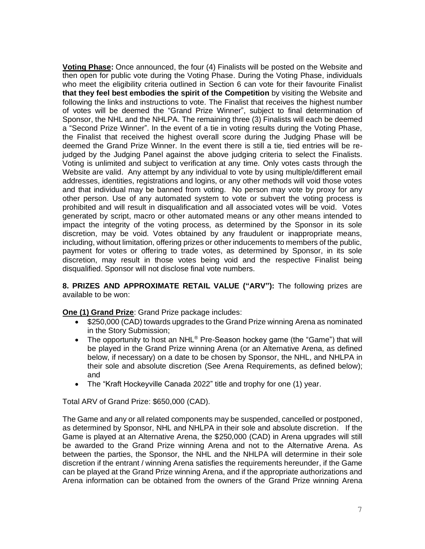**Voting Phase:** Once announced, the four (4) Finalists will be posted on the Website and then open for public vote during the Voting Phase. During the Voting Phase, individuals who meet the eligibility criteria outlined in Section 6 can vote for their favourite Finalist **that they feel best embodies the spirit of the Competition** by visiting the Website and following the links and instructions to vote. The Finalist that receives the highest number of votes will be deemed the "Grand Prize Winner", subject to final determination of Sponsor, the NHL and the NHLPA. The remaining three (3) Finalists will each be deemed a "Second Prize Winner". In the event of a tie in voting results during the Voting Phase, the Finalist that received the highest overall score during the Judging Phase will be deemed the Grand Prize Winner. In the event there is still a tie, tied entries will be rejudged by the Judging Panel against the above judging criteria to select the Finalists. Voting is unlimited and subject to verification at any time. Only votes casts through the Website are valid. Any attempt by any individual to vote by using multiple/different email addresses, identities, registrations and logins, or any other methods will void those votes and that individual may be banned from voting. No person may vote by proxy for any other person. Use of any automated system to vote or subvert the voting process is prohibited and will result in disqualification and all associated votes will be void. Votes generated by script, macro or other automated means or any other means intended to impact the integrity of the voting process, as determined by the Sponsor in its sole discretion, may be void. Votes obtained by any fraudulent or inappropriate means, including, without limitation, offering prizes or other inducements to members of the public, payment for votes or offering to trade votes, as determined by Sponsor, in its sole discretion, may result in those votes being void and the respective Finalist being disqualified. Sponsor will not disclose final vote numbers.

**8. PRIZES AND APPROXIMATE RETAIL VALUE ("ARV"):** The following prizes are available to be won:

**One (1) Grand Prize**: Grand Prize package includes:

- \$250,000 (CAD) towards upgrades to the Grand Prize winning Arena as nominated in the Story Submission;
- The opportunity to host an NHL<sup>®</sup> Pre-Season hockey game (the "Game") that will be played in the Grand Prize winning Arena (or an Alternative Arena, as defined below, if necessary) on a date to be chosen by Sponsor, the NHL, and NHLPA in their sole and absolute discretion (See Arena Requirements, as defined below); and
- The "Kraft Hockeyville Canada 2022" title and trophy for one (1) year.

Total ARV of Grand Prize: \$650,000 (CAD).

The Game and any or all related components may be suspended, cancelled or postponed, as determined by Sponsor, NHL and NHLPA in their sole and absolute discretion. If the Game is played at an Alternative Arena, the \$250,000 (CAD) in Arena upgrades will still be awarded to the Grand Prize winning Arena and not to the Alternative Arena. As between the parties, the Sponsor, the NHL and the NHLPA will determine in their sole discretion if the entrant / winning Arena satisfies the requirements hereunder, if the Game can be played at the Grand Prize winning Arena, and if the appropriate authorizations and Arena information can be obtained from the owners of the Grand Prize winning Arena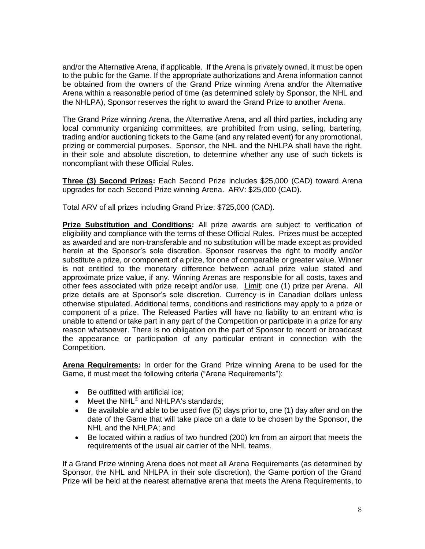and/or the Alternative Arena, if applicable. If the Arena is privately owned, it must be open to the public for the Game. If the appropriate authorizations and Arena information cannot be obtained from the owners of the Grand Prize winning Arena and/or the Alternative Arena within a reasonable period of time (as determined solely by Sponsor, the NHL and the NHLPA), Sponsor reserves the right to award the Grand Prize to another Arena.

The Grand Prize winning Arena, the Alternative Arena, and all third parties, including any local community organizing committees, are prohibited from using, selling, bartering, trading and/or auctioning tickets to the Game (and any related event) for any promotional, prizing or commercial purposes. Sponsor, the NHL and the NHLPA shall have the right, in their sole and absolute discretion, to determine whether any use of such tickets is noncompliant with these Official Rules.

**Three (3) Second Prizes:** Each Second Prize includes \$25,000 (CAD) toward Arena upgrades for each Second Prize winning Arena. ARV: \$25,000 (CAD).

Total ARV of all prizes including Grand Prize: \$725,000 (CAD).

**Prize Substitution and Conditions:** All prize awards are subject to verification of eligibility and compliance with the terms of these Official Rules. Prizes must be accepted as awarded and are non-transferable and no substitution will be made except as provided herein at the Sponsor's sole discretion. Sponsor reserves the right to modify and/or substitute a prize, or component of a prize, for one of comparable or greater value. Winner is not entitled to the monetary difference between actual prize value stated and approximate prize value, if any. Winning Arenas are responsible for all costs, taxes and other fees associated with prize receipt and/or use. Limit: one (1) prize per Arena. All prize details are at Sponsor's sole discretion. Currency is in Canadian dollars unless otherwise stipulated. Additional terms, conditions and restrictions may apply to a prize or component of a prize. The Released Parties will have no liability to an entrant who is unable to attend or take part in any part of the Competition or participate in a prize for any reason whatsoever. There is no obligation on the part of Sponsor to record or broadcast the appearance or participation of any particular entrant in connection with the Competition.

**Arena Requirements:** In order for the Grand Prize winning Arena to be used for the Game, it must meet the following criteria ("Arena Requirements"):

- Be outfitted with artificial ice;
- Meet the NHL<sup>®</sup> and NHLPA's standards:
- Be available and able to be used five (5) days prior to, one (1) day after and on the date of the Game that will take place on a date to be chosen by the Sponsor, the NHL and the NHLPA; and
- Be located within a radius of two hundred (200) km from an airport that meets the requirements of the usual air carrier of the NHL teams.

If a Grand Prize winning Arena does not meet all Arena Requirements (as determined by Sponsor, the NHL and NHLPA in their sole discretion), the Game portion of the Grand Prize will be held at the nearest alternative arena that meets the Arena Requirements, to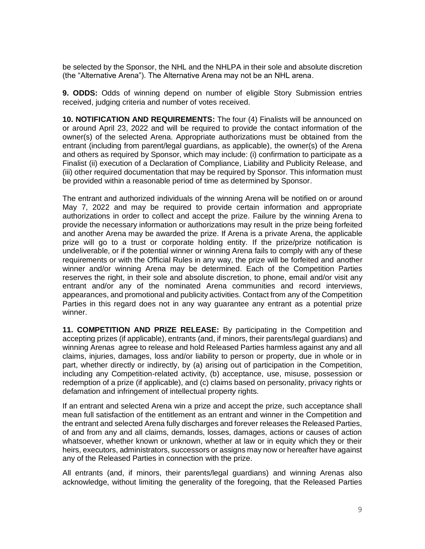be selected by the Sponsor, the NHL and the NHLPA in their sole and absolute discretion (the "Alternative Arena"). The Alternative Arena may not be an NHL arena.

**9. ODDS:** Odds of winning depend on number of eligible Story Submission entries received, judging criteria and number of votes received.

**10. NOTIFICATION AND REQUIREMENTS:** The four (4) Finalists will be announced on or around April 23, 2022 and will be required to provide the contact information of the owner(s) of the selected Arena. Appropriate authorizations must be obtained from the entrant (including from parent/legal guardians, as applicable), the owner(s) of the Arena and others as required by Sponsor, which may include: (i) confirmation to participate as a Finalist (ii) execution of a Declaration of Compliance, Liability and Publicity Release, and (iii) other required documentation that may be required by Sponsor. This information must be provided within a reasonable period of time as determined by Sponsor.

The entrant and authorized individuals of the winning Arena will be notified on or around May 7, 2022 and may be required to provide certain information and appropriate authorizations in order to collect and accept the prize. Failure by the winning Arena to provide the necessary information or authorizations may result in the prize being forfeited and another Arena may be awarded the prize. If Arena is a private Arena, the applicable prize will go to a trust or corporate holding entity. If the prize/prize notification is undeliverable, or if the potential winner or winning Arena fails to comply with any of these requirements or with the Official Rules in any way, the prize will be forfeited and another winner and/or winning Arena may be determined. Each of the Competition Parties reserves the right, in their sole and absolute discretion, to phone, email and/or visit any entrant and/or any of the nominated Arena communities and record interviews, appearances, and promotional and publicity activities. Contact from any of the Competition Parties in this regard does not in any way guarantee any entrant as a potential prize winner.

**11. COMPETITION AND PRIZE RELEASE:** By participating in the Competition and accepting prizes (if applicable), entrants (and, if minors, their parents/legal guardians) and winning Arenas agree to release and hold Released Parties harmless against any and all claims, injuries, damages, loss and/or liability to person or property, due in whole or in part, whether directly or indirectly, by (a) arising out of participation in the Competition, including any Competition-related activity, (b) acceptance, use, misuse, possession or redemption of a prize (if applicable), and (c) claims based on personality, privacy rights or defamation and infringement of intellectual property rights.

If an entrant and selected Arena win a prize and accept the prize, such acceptance shall mean full satisfaction of the entitlement as an entrant and winner in the Competition and the entrant and selected Arena fully discharges and forever releases the Released Parties, of and from any and all claims, demands, losses, damages, actions or causes of action whatsoever, whether known or unknown, whether at law or in equity which they or their heirs, executors, administrators, successors or assigns may now or hereafter have against any of the Released Parties in connection with the prize.

All entrants (and, if minors, their parents/legal guardians) and winning Arenas also acknowledge, without limiting the generality of the foregoing, that the Released Parties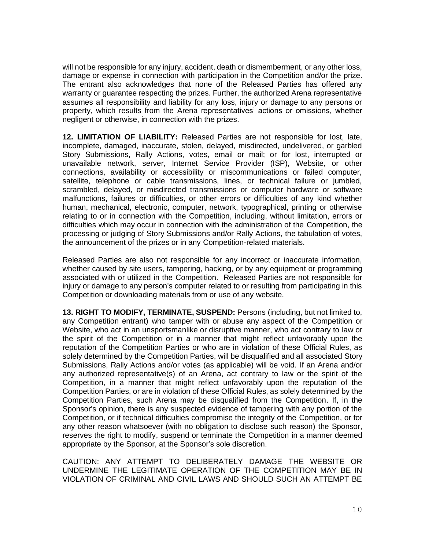will not be responsible for any injury, accident, death or dismemberment, or any other loss, damage or expense in connection with participation in the Competition and/or the prize. The entrant also acknowledges that none of the Released Parties has offered any warranty or guarantee respecting the prizes. Further, the authorized Arena representative assumes all responsibility and liability for any loss, injury or damage to any persons or property, which results from the Arena representatives' actions or omissions, whether negligent or otherwise, in connection with the prizes.

**12. LIMITATION OF LIABILITY:** Released Parties are not responsible for lost, late, incomplete, damaged, inaccurate, stolen, delayed, misdirected, undelivered, or garbled Story Submissions, Rally Actions, votes, email or mail; or for lost, interrupted or unavailable network, server, Internet Service Provider (ISP), Website, or other connections, availability or accessibility or miscommunications or failed computer, satellite, telephone or cable transmissions, lines, or technical failure or jumbled, scrambled, delayed, or misdirected transmissions or computer hardware or software malfunctions, failures or difficulties, or other errors or difficulties of any kind whether human, mechanical, electronic, computer, network, typographical, printing or otherwise relating to or in connection with the Competition, including, without limitation, errors or difficulties which may occur in connection with the administration of the Competition, the processing or judging of Story Submissions and/or Rally Actions, the tabulation of votes, the announcement of the prizes or in any Competition-related materials.

Released Parties are also not responsible for any incorrect or inaccurate information, whether caused by site users, tampering, hacking, or by any equipment or programming associated with or utilized in the Competition. Released Parties are not responsible for injury or damage to any person's computer related to or resulting from participating in this Competition or downloading materials from or use of any website.

**13. RIGHT TO MODIFY, TERMINATE, SUSPEND:** Persons (including, but not limited to, any Competition entrant) who tamper with or abuse any aspect of the Competition or Website, who act in an unsportsmanlike or disruptive manner, who act contrary to law or the spirit of the Competition or in a manner that might reflect unfavorably upon the reputation of the Competition Parties or who are in violation of these Official Rules, as solely determined by the Competition Parties, will be disqualified and all associated Story Submissions, Rally Actions and/or votes (as applicable) will be void. If an Arena and/or any authorized representative(s) of an Arena, act contrary to law or the spirit of the Competition, in a manner that might reflect unfavorably upon the reputation of the Competition Parties, or are in violation of these Official Rules, as solely determined by the Competition Parties, such Arena may be disqualified from the Competition. If, in the Sponsor's opinion, there is any suspected evidence of tampering with any portion of the Competition, or if technical difficulties compromise the integrity of the Competition, or for any other reason whatsoever (with no obligation to disclose such reason) the Sponsor, reserves the right to modify, suspend or terminate the Competition in a manner deemed appropriate by the Sponsor, at the Sponsor's sole discretion.

CAUTION: ANY ATTEMPT TO DELIBERATELY DAMAGE THE WEBSITE OR UNDERMINE THE LEGITIMATE OPERATION OF THE COMPETITION MAY BE IN VIOLATION OF CRIMINAL AND CIVIL LAWS AND SHOULD SUCH AN ATTEMPT BE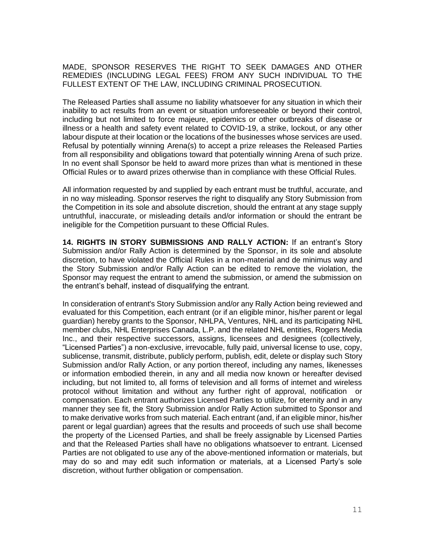MADE, SPONSOR RESERVES THE RIGHT TO SEEK DAMAGES AND OTHER REMEDIES (INCLUDING LEGAL FEES) FROM ANY SUCH INDIVIDUAL TO THE FULLEST EXTENT OF THE LAW, INCLUDING CRIMINAL PROSECUTION.

The Released Parties shall assume no liability whatsoever for any situation in which their inability to act results from an event or situation unforeseeable or beyond their control, including but not limited to force majeure, epidemics or other outbreaks of disease or illness or a health and safety event related to COVID-19, a strike, lockout, or any other labour dispute at their location or the locations of the businesses whose services are used. Refusal by potentially winning Arena(s) to accept a prize releases the Released Parties from all responsibility and obligations toward that potentially winning Arena of such prize. In no event shall Sponsor be held to award more prizes than what is mentioned in these Official Rules or to award prizes otherwise than in compliance with these Official Rules.

All information requested by and supplied by each entrant must be truthful, accurate, and in no way misleading. Sponsor reserves the right to disqualify any Story Submission from the Competition in its sole and absolute discretion, should the entrant at any stage supply untruthful, inaccurate, or misleading details and/or information or should the entrant be ineligible for the Competition pursuant to these Official Rules.

**14. RIGHTS IN STORY SUBMISSIONS AND RALLY ACTION:** If an entrant's Story Submission and/or Rally Action is determined by the Sponsor, in its sole and absolute discretion, to have violated the Official Rules in a non-material and de minimus way and the Story Submission and/or Rally Action can be edited to remove the violation, the Sponsor may request the entrant to amend the submission, or amend the submission on the entrant's behalf, instead of disqualifying the entrant.

In consideration of entrant's Story Submission and/or any Rally Action being reviewed and evaluated for this Competition, each entrant (or if an eligible minor, his/her parent or legal guardian) hereby grants to the Sponsor, NHLPA, Ventures, NHL and its participating NHL member clubs, NHL Enterprises Canada, L.P. and the related NHL entities, Rogers Media Inc., and their respective successors, assigns, licensees and designees (collectively, "Licensed Parties") a non-exclusive, irrevocable, fully paid, universal license to use, copy, sublicense, transmit, distribute, publicly perform, publish, edit, delete or display such Story Submission and/or Rally Action, or any portion thereof, including any names, likenesses or information embodied therein, in any and all media now known or hereafter devised including, but not limited to, all forms of television and all forms of internet and wireless protocol without limitation and without any further right of approval, notification or compensation. Each entrant authorizes Licensed Parties to utilize, for eternity and in any manner they see fit, the Story Submission and/or Rally Action submitted to Sponsor and to make derivative works from such material. Each entrant (and, if an eligible minor, his/her parent or legal guardian) agrees that the results and proceeds of such use shall become the property of the Licensed Parties, and shall be freely assignable by Licensed Parties and that the Released Parties shall have no obligations whatsoever to entrant. Licensed Parties are not obligated to use any of the above-mentioned information or materials, but may do so and may edit such information or materials, at a Licensed Party's sole discretion, without further obligation or compensation.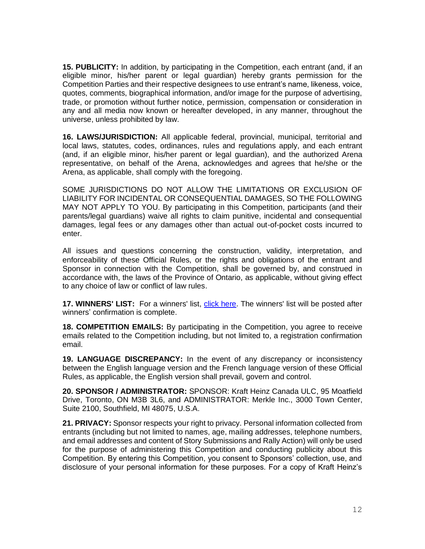**15. PUBLICITY:** In addition, by participating in the Competition, each entrant (and, if an eligible minor, his/her parent or legal guardian) hereby grants permission for the Competition Parties and their respective designees to use entrant's name, likeness, voice, quotes, comments, biographical information, and/or image for the purpose of advertising, trade, or promotion without further notice, permission, compensation or consideration in any and all media now known or hereafter developed, in any manner, throughout the universe, unless prohibited by law.

**16. LAWS/JURISDICTION:** All applicable federal, provincial, municipal, territorial and local laws, statutes, codes, ordinances, rules and regulations apply, and each entrant (and, if an eligible minor, his/her parent or legal guardian), and the authorized Arena representative, on behalf of the Arena, acknowledges and agrees that he/she or the Arena, as applicable, shall comply with the foregoing.

SOME JURISDICTIONS DO NOT ALLOW THE LIMITATIONS OR EXCLUSION OF LIABILITY FOR INCIDENTAL OR CONSEQUENTIAL DAMAGES, SO THE FOLLOWING MAY NOT APPLY TO YOU. By participating in this Competition, participants (and their parents/legal guardians) waive all rights to claim punitive, incidental and consequential damages, legal fees or any damages other than actual out-of-pocket costs incurred to enter.

All issues and questions concerning the construction, validity, interpretation, and enforceability of these Official Rules, or the rights and obligations of the entrant and Sponsor in connection with the Competition, shall be governed by, and construed in accordance with, the laws of the Province of Ontario, as applicable, without giving effect to any choice of law or conflict of law rules.

**17. WINNERS' LIST:** For a winners' list, [click here.](https://winlists.helloworld.com/251225.pdf) The winners' list will be posted after winners' confirmation is complete.

**18. COMPETITION EMAILS:** By participating in the Competition, you agree to receive emails related to the Competition including, but not limited to, a registration confirmation email.

**19. LANGUAGE DISCREPANCY:** In the event of any discrepancy or inconsistency between the English language version and the French language version of these Official Rules, as applicable, the English version shall prevail, govern and control.

**20. SPONSOR / ADMINISTRATOR:** SPONSOR: Kraft Heinz Canada ULC, 95 Moatfield Drive, Toronto, ON M3B 3L6, and ADMINISTRATOR: Merkle Inc., 3000 Town Center, Suite 2100, Southfield, MI 48075, U.S.A.

**21. PRIVACY:** Sponsor respects your right to privacy. Personal information collected from entrants (including but not limited to names, age, mailing addresses, telephone numbers, and email addresses and content of Story Submissions and Rally Action) will only be used for the purpose of administering this Competition and conducting publicity about this Competition. By entering this Competition, you consent to Sponsors' collection, use, and disclosure of your personal information for these purposes. For a copy of Kraft Heinz's